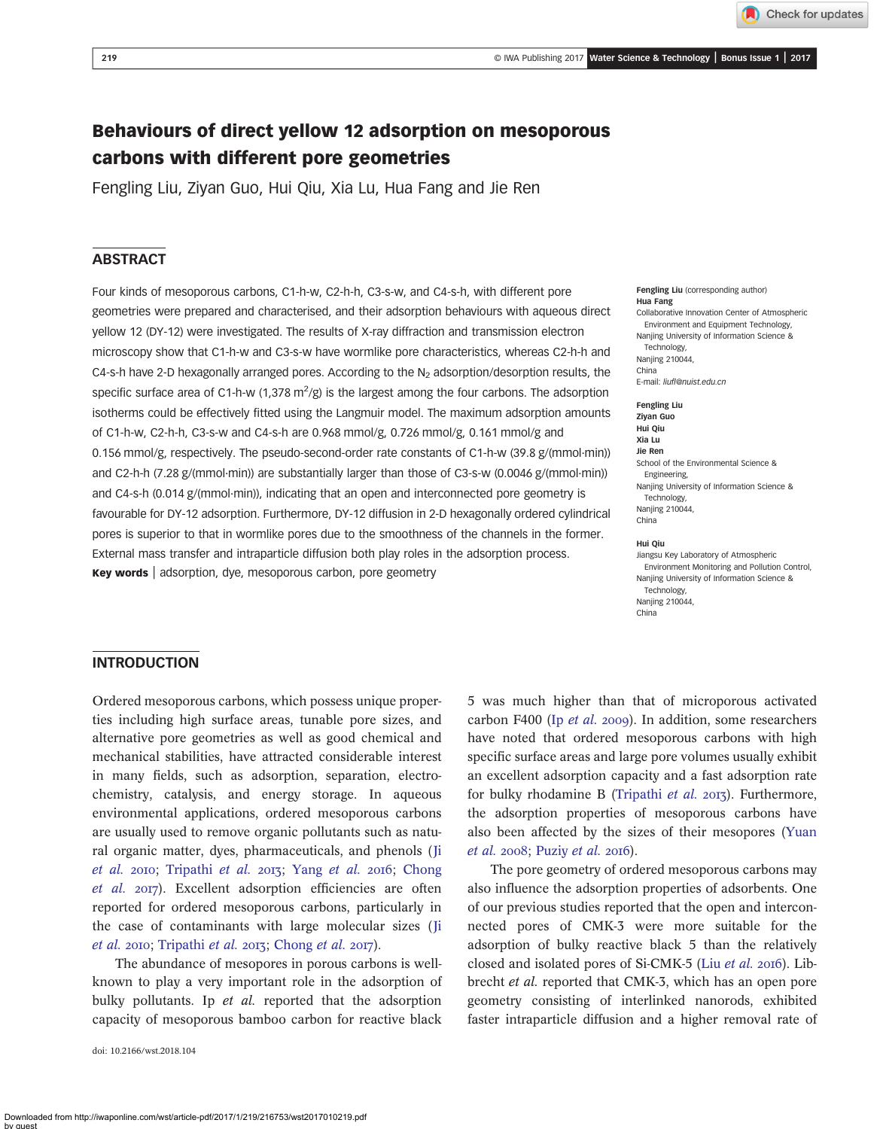Check for updates

# Behaviours of direct yellow 12 adsorption on mesoporous carbons with different pore geometries

Fengling Liu, Ziyan Guo, Hui Qiu, Xia Lu, Hua Fang and Jie Ren

## **ABSTRACT**

Four kinds of mesoporous carbons, C1-h-w, C2-h-h, C3-s-w, and C4-s-h, with different pore geometries were prepared and characterised, and their adsorption behaviours with aqueous direct yellow 12 (DY-12) were investigated. The results of X-ray diffraction and transmission electron microscopy show that C1-h-w and C3-s-w have wormlike pore characteristics, whereas C2-h-h and C4-s-h have 2-D hexagonally arranged pores. According to the  $N<sub>2</sub>$  adsorption/desorption results, the specific surface area of C1-h-w  $(1,378 \text{ m}^2/\text{g})$  is the largest among the four carbons. The adsorption isotherms could be effectively fitted using the Langmuir model. The maximum adsorption amounts of C1-h-w, C2-h-h, C3-s-w and C4-s-h are 0.968 mmol/g, 0.726 mmol/g, 0.161 mmol/g and 0.156 mmol/g, respectively. The pseudo-second-order rate constants of C1-h-w (39.8 g/(mmol·min)) and C2-h-h (7.28 g/(mmol·min)) are substantially larger than those of C3-s-w (0.0046 g/(mmol·min)) and C4-s-h (0.014 g/(mmol·min)), indicating that an open and interconnected pore geometry is favourable for DY-12 adsorption. Furthermore, DY-12 diffusion in 2-D hexagonally ordered cylindrical pores is superior to that in wormlike pores due to the smoothness of the channels in the former. External mass transfer and intraparticle diffusion both play roles in the adsorption process. Key words | adsorption, dye, mesoporous carbon, pore geometry

#### Fengling Liu (corresponding author) Hua Fang

Collaborative Innovation Center of Atmospheric Environment and Equipment Technology, Nanjing University of Information Science & Technology, Nanjing 210044, China E-mail: liufl[@nuist.edu.cn](mailto:liufl@nuist.edu.cn)

Fengling Liu Ziyan Guo Hui Qiu Xia Lu Jie Ren School of the Environmental Science & Engineering, Nanjing University of Information Science & Technology, Nanjing 210044, China

#### Hui Qiu

Jiangsu Key Laboratory of Atmospheric Environment Monitoring and Pollution Control, Nanjing University of Information Science & Technology, Nanjing 210044, China

#### INTRODUCTION

Ordered mesoporous carbons, which possess unique properties including high surface areas, tunable pore sizes, and alternative pore geometries as well as good chemical and mechanical stabilities, have attracted considerable interest in many fields, such as adsorption, separation, electrochemistry, catalysis, and energy storage. In aqueous environmental applications, ordered mesoporous carbons are usually used to remove organic pollutants such as natural organic matter, dyes, pharmaceuticals, and phenols ([Ji](#page-8-0) [et al.](#page-9-0) 2010; [Tripathi](#page-9-0) et al. 2013; Yang et al. 2016; [Chong](#page-8-0) [et al.](#page-8-0) 2017). Excellent adsorption efficiencies are often reported for ordered mesoporous carbons, particularly in the case of contaminants with large molecular sizes ([Ji](#page-8-0) [et al.](#page-8-0) 2010; [Tripathi](#page-9-0) et al. 2013; [Chong](#page-8-0) et al. 2017).

The abundance of mesopores in porous carbons is wellknown to play a very important role in the adsorption of bulky pollutants. Ip et al. reported that the adsorption capacity of mesoporous bamboo carbon for reactive black

doi: 10.2166/wst.2018.104

5 was much higher than that of microporous activated carbon F400 (Ip  $et$  al. 2009). In addition, some researchers have noted that ordered mesoporous carbons with high specific surface areas and large pore volumes usually exhibit an excellent adsorption capacity and a fast adsorption rate for bulky rhodamine B ([Tripathi](#page-9-0) et al. 2013). Furthermore, the adsorption properties of mesoporous carbons have also been affected by the sizes of their mesopores [\(Yuan](#page-9-0)  $et$  al. 2008; [Puziy](#page-8-0)  $et$  al. 2016).

The pore geometry of ordered mesoporous carbons may also influence the adsorption properties of adsorbents. One of our previous studies reported that the open and interconnected pores of CMK-3 were more suitable for the adsorption of bulky reactive black 5 than the relatively closed and isolated pores of Si-CMK-5 (Liu [et al.](#page-8-0) 2016). Libbrecht et al. reported that CMK-3, which has an open pore geometry consisting of interlinked nanorods, exhibited faster intraparticle diffusion and a higher removal rate of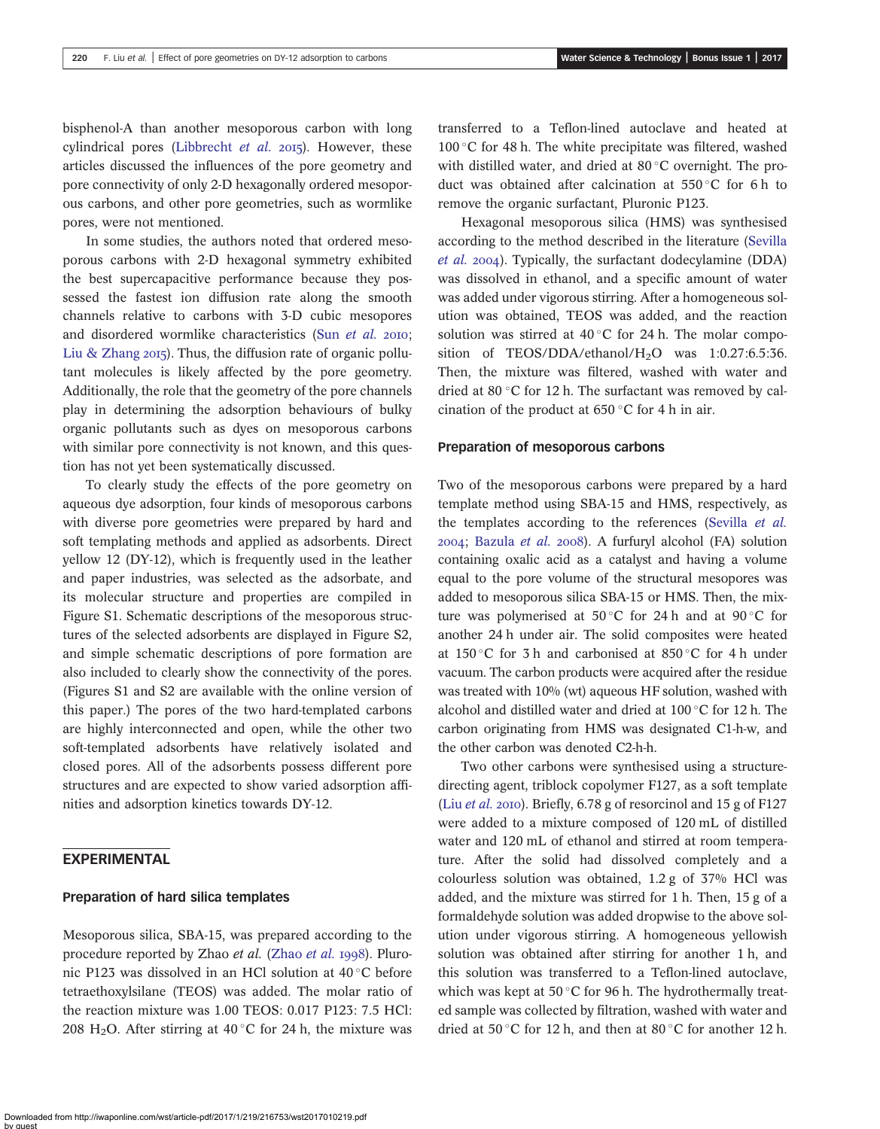bisphenol-A than another mesoporous carbon with long cylindrical pores ([Libbrecht](#page-8-0) et al.  $2015$ ). However, these articles discussed the influences of the pore geometry and pore connectivity of only 2-D hexagonally ordered mesoporous carbons, and other pore geometries, such as wormlike pores, were not mentioned.

In some studies, the authors noted that ordered mesoporous carbons with 2-D hexagonal symmetry exhibited the best supercapacitive performance because they possessed the fastest ion diffusion rate along the smooth channels relative to carbons with 3-D cubic mesopores and disordered wormlike characteristics (Sun [et al.](#page-8-0) 2010; [Liu & Zhang](#page-8-0)  $2015$ ). Thus, the diffusion rate of organic pollutant molecules is likely affected by the pore geometry. Additionally, the role that the geometry of the pore channels play in determining the adsorption behaviours of bulky organic pollutants such as dyes on mesoporous carbons with similar pore connectivity is not known, and this question has not yet been systematically discussed.

To clearly study the effects of the pore geometry on aqueous dye adsorption, four kinds of mesoporous carbons with diverse pore geometries were prepared by hard and soft templating methods and applied as adsorbents. Direct yellow 12 (DY-12), which is frequently used in the leather and paper industries, was selected as the adsorbate, and its molecular structure and properties are compiled in Figure S1. Schematic descriptions of the mesoporous structures of the selected adsorbents are displayed in Figure S2, and simple schematic descriptions of pore formation are also included to clearly show the connectivity of the pores. (Figures S1 and S2 are available with the online version of this paper.) The pores of the two hard-templated carbons are highly interconnected and open, while the other two soft-templated adsorbents have relatively isolated and closed pores. All of the adsorbents possess different pore structures and are expected to show varied adsorption affinities and adsorption kinetics towards DY-12.

## EXPERIMENTAL

### Preparation of hard silica templates

Mesoporous silica, SBA-15, was prepared according to the procedure reported by [Zhao](#page-9-0) et al. (Zhao et al. 1998). Pluronic P123 was dissolved in an HCl solution at 40 °C before tetraethoxylsilane (TEOS) was added. The molar ratio of the reaction mixture was 1.00 TEOS: 0.017 P123: 7.5 HCl: 208 H<sub>2</sub>O. After stirring at 40 °C for 24 h, the mixture was transferred to a Teflon-lined autoclave and heated at 100 °C for 48 h. The white precipitate was filtered, washed with distilled water, and dried at  $80^{\circ}$ C overnight. The product was obtained after calcination at  $550\,^{\circ}$ C for 6 h to remove the organic surfactant, Pluronic P123.

Hexagonal mesoporous silica (HMS) was synthesised according to the method described in the literature [\(Sevilla](#page-8-0) [et al.](#page-8-0) 2004). Typically, the surfactant dodecylamine (DDA) was dissolved in ethanol, and a specific amount of water was added under vigorous stirring. After a homogeneous solution was obtained, TEOS was added, and the reaction solution was stirred at  $40^{\circ}$ C for 24 h. The molar composition of TEOS/DDA/ethanol/H<sub>2</sub>O was 1:0.27:6.5:36. Then, the mixture was filtered, washed with water and dried at 80 $\degree$ C for 12 h. The surfactant was removed by calcination of the product at  $650^{\circ}$ C for 4 h in air.

#### Preparation of mesoporous carbons

Two of the mesoporous carbons were prepared by a hard template method using SBA-15 and HMS, respectively, as the templates according to the references ([Sevilla](#page-8-0) et al.  $2004$ ; [Bazula](#page-8-0) et al.  $2008$ ). A furfuryl alcohol (FA) solution containing oxalic acid as a catalyst and having a volume equal to the pore volume of the structural mesopores was added to mesoporous silica SBA-15 or HMS. Then, the mixture was polymerised at 50 °C for 24 h and at 90 °C for another 24 h under air. The solid composites were heated at  $150^{\circ}$ C for 3 h and carbonised at  $850^{\circ}$ C for 4 h under vacuum. The carbon products were acquired after the residue was treated with 10% (wt) aqueous HF solution, washed with alcohol and distilled water and dried at  $100^{\circ}$ C for 12 h. The carbon originating from HMS was designated C1-h-w, and the other carbon was denoted C2-h-h.

Two other carbons were synthesised using a structuredirecting agent, triblock copolymer F127, as a soft template (Liu [et al.](#page-8-0) 2010). Briefly,  $6.78$  g of resorcinol and  $15$  g of F127 were added to a mixture composed of 120 mL of distilled water and 120 mL of ethanol and stirred at room temperature. After the solid had dissolved completely and a colourless solution was obtained, 1.2 g of 37% HCl was added, and the mixture was stirred for 1 h. Then, 15 g of a formaldehyde solution was added dropwise to the above solution under vigorous stirring. A homogeneous yellowish solution was obtained after stirring for another 1 h, and this solution was transferred to a Teflon-lined autoclave, which was kept at 50 $\degree$ C for 96 h. The hydrothermally treated sample was collected by filtration, washed with water and dried at 50 °C for 12 h, and then at 80 °C for another 12 h.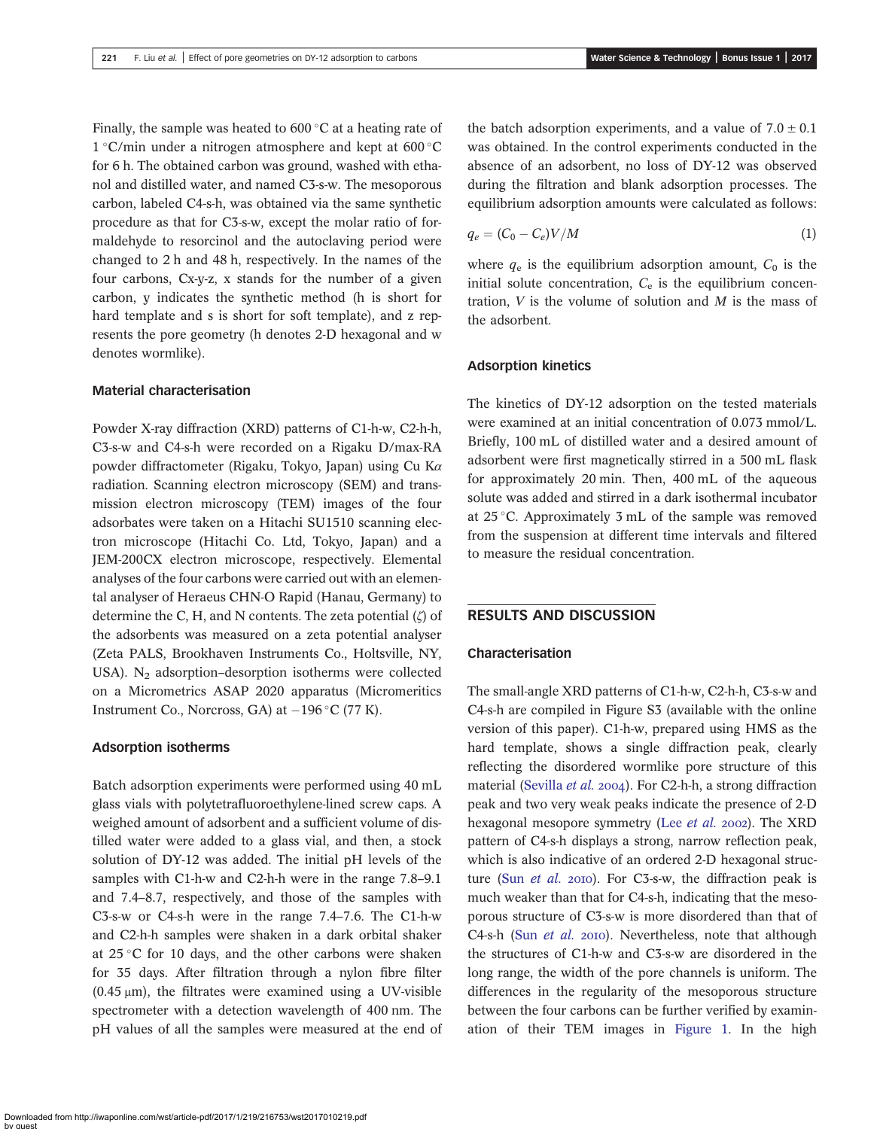Finally, the sample was heated to  $600\degree C$  at a heating rate of  $1^{\circ}$ C/min under a nitrogen atmosphere and kept at 600 $^{\circ}$ C for 6 h. The obtained carbon was ground, washed with ethanol and distilled water, and named C3-s-w. The mesoporous carbon, labeled C4-s-h, was obtained via the same synthetic procedure as that for C3-s-w, except the molar ratio of formaldehyde to resorcinol and the autoclaving period were changed to 2 h and 48 h, respectively. In the names of the four carbons, Cx-y-z, x stands for the number of a given carbon, y indicates the synthetic method (h is short for hard template and s is short for soft template), and z represents the pore geometry (h denotes 2-D hexagonal and w denotes wormlike).

#### Material characterisation

Powder X-ray diffraction (XRD) patterns of C1-h-w, C2-h-h, C3-s-w and C4-s-h were recorded on a Rigaku D/max-RA powder diffractometer (Rigaku, Tokyo, Japan) using Cu K $\alpha$ radiation. Scanning electron microscopy (SEM) and transmission electron microscopy (TEM) images of the four adsorbates were taken on a Hitachi SU1510 scanning electron microscope (Hitachi Co. Ltd, Tokyo, Japan) and a JEM-200CX electron microscope, respectively. Elemental analyses of the four carbons were carried out with an elemental analyser of Heraeus CHN-O Rapid (Hanau, Germany) to determine the C, H, and N contents. The zeta potential (ζ) of the adsorbents was measured on a zeta potential analyser (Zeta PALS, Brookhaven Instruments Co., Holtsville, NY, USA). N<sub>2</sub> adsorption–desorption isotherms were collected on a Micrometrics ASAP 2020 apparatus (Micromeritics Instrument Co., Norcross, GA) at  $-196$  °C (77 K).

#### Adsorption isotherms

Batch adsorption experiments were performed using 40 mL glass vials with polytetrafluoroethylene-lined screw caps. A weighed amount of adsorbent and a sufficient volume of distilled water were added to a glass vial, and then, a stock solution of DY-12 was added. The initial pH levels of the samples with C1-h-w and C2-h-h were in the range 7.8–9.1 and 7.4–8.7, respectively, and those of the samples with C3-s-w or C4-s-h were in the range 7.4–7.6. The C1-h-w and C2-h-h samples were shaken in a dark orbital shaker at  $25^{\circ}$ C for 10 days, and the other carbons were shaken for 35 days. After filtration through a nylon fibre filter  $(0.45 \,\mu\text{m})$ , the filtrates were examined using a UV-visible spectrometer with a detection wavelength of 400 nm. The pH values of all the samples were measured at the end of the batch adsorption experiments, and a value of  $7.0 \pm 0.1$ was obtained. In the control experiments conducted in the absence of an adsorbent, no loss of DY-12 was observed during the filtration and blank adsorption processes. The equilibrium adsorption amounts were calculated as follows:

$$
q_e = (C_0 - C_e)V/M \tag{1}
$$

where  $q_e$  is the equilibrium adsorption amount,  $C_0$  is the initial solute concentration,  $C_{\rm e}$  is the equilibrium concentration,  $V$  is the volume of solution and  $M$  is the mass of the adsorbent.

#### Adsorption kinetics

The kinetics of DY-12 adsorption on the tested materials were examined at an initial concentration of 0.073 mmol/L. Briefly, 100 mL of distilled water and a desired amount of adsorbent were first magnetically stirred in a 500 mL flask for approximately 20 min. Then, 400 mL of the aqueous solute was added and stirred in a dark isothermal incubator at  $25^{\circ}$ C. Approximately 3 mL of the sample was removed from the suspension at different time intervals and filtered to measure the residual concentration.

## RESULTS AND DISCUSSION

#### Characterisation

The small-angle XRD patterns of C1-h-w, C2-h-h, C3-s-w and C4-s-h are compiled in Figure S3 (available with the online version of this paper). C1-h-w, prepared using HMS as the hard template, shows a single diffraction peak, clearly reflecting the disordered wormlike pore structure of this material ([Sevilla](#page-8-0) et al. 2004). For C2-h-h, a strong diffraction peak and two very weak peaks indicate the presence of 2-D hexagonal mesopore symmetry (Lee [et al.](#page-8-0) 2002). The XRD pattern of C4-s-h displays a strong, narrow reflection peak, which is also indicative of an ordered 2-D hexagonal structure (Sun *[et al.](#page-8-0)* 2010). For C3-s-w, the diffraction peak is much weaker than that for C4-s-h, indicating that the mesoporous structure of C3-s-w is more disordered than that of C4-s-h (Sun *[et al.](#page-8-0)* 2010). Nevertheless, note that although the structures of C1-h-w and C3-s-w are disordered in the long range, the width of the pore channels is uniform. The differences in the regularity of the mesoporous structure between the four carbons can be further verified by examination of their TEM images in [Figure 1.](#page-3-0) In the high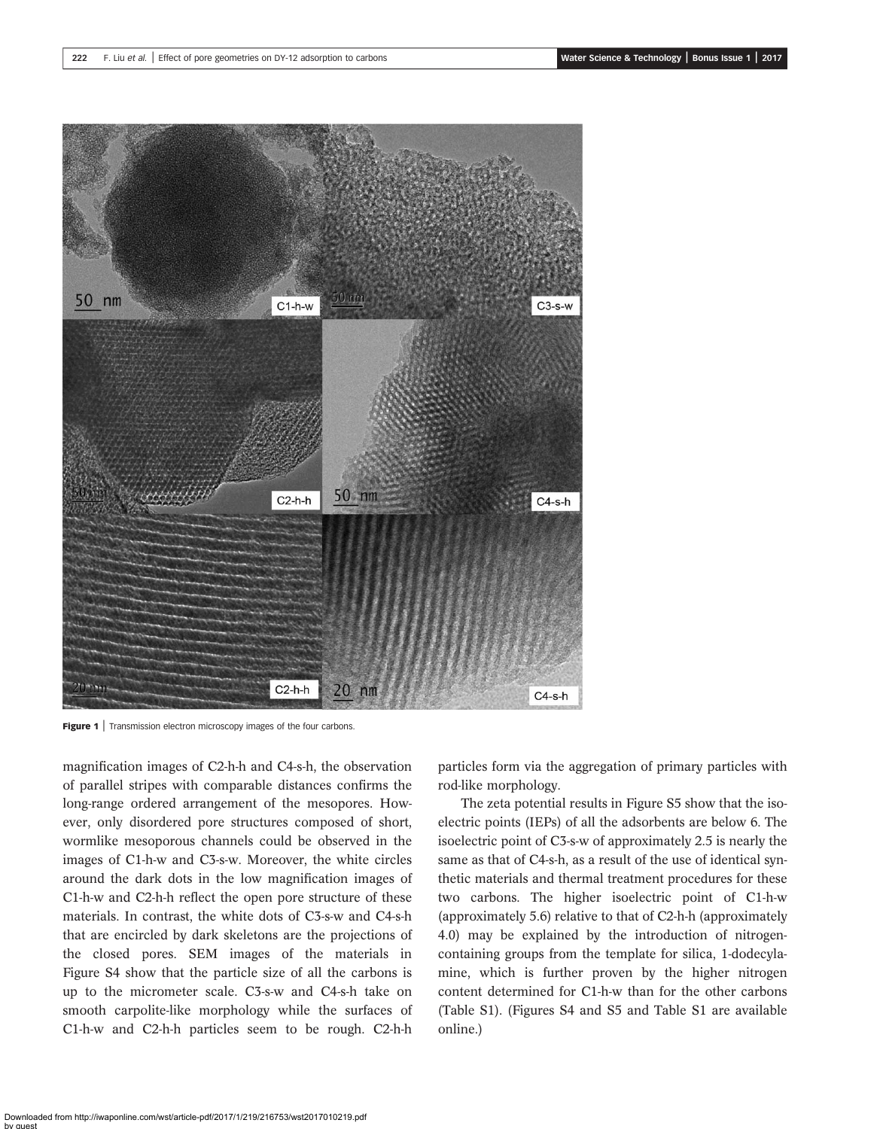<span id="page-3-0"></span>

Figure 1 | Transmission electron microscopy images of the four carbons.

magnification images of C2-h-h and C4-s-h, the observation of parallel stripes with comparable distances confirms the long-range ordered arrangement of the mesopores. However, only disordered pore structures composed of short, wormlike mesoporous channels could be observed in the images of C1-h-w and C3-s-w. Moreover, the white circles around the dark dots in the low magnification images of C1-h-w and C2-h-h reflect the open pore structure of these materials. In contrast, the white dots of C3-s-w and C4-s-h that are encircled by dark skeletons are the projections of the closed pores. SEM images of the materials in Figure S4 show that the particle size of all the carbons is up to the micrometer scale. C3-s-w and C4-s-h take on smooth carpolite-like morphology while the surfaces of C1-h-w and C2-h-h particles seem to be rough. C2-h-h

particles form via the aggregation of primary particles with rod-like morphology.

The zeta potential results in Figure S5 show that the isoelectric points (IEPs) of all the adsorbents are below 6. The isoelectric point of C3-s-w of approximately 2.5 is nearly the same as that of C4-s-h, as a result of the use of identical synthetic materials and thermal treatment procedures for these two carbons. The higher isoelectric point of C1-h-w (approximately 5.6) relative to that of C2-h-h (approximately 4.0) may be explained by the introduction of nitrogencontaining groups from the template for silica, 1-dodecylamine, which is further proven by the higher nitrogen content determined for C1-h-w than for the other carbons (Table S1). (Figures S4 and S5 and Table S1 are available online.)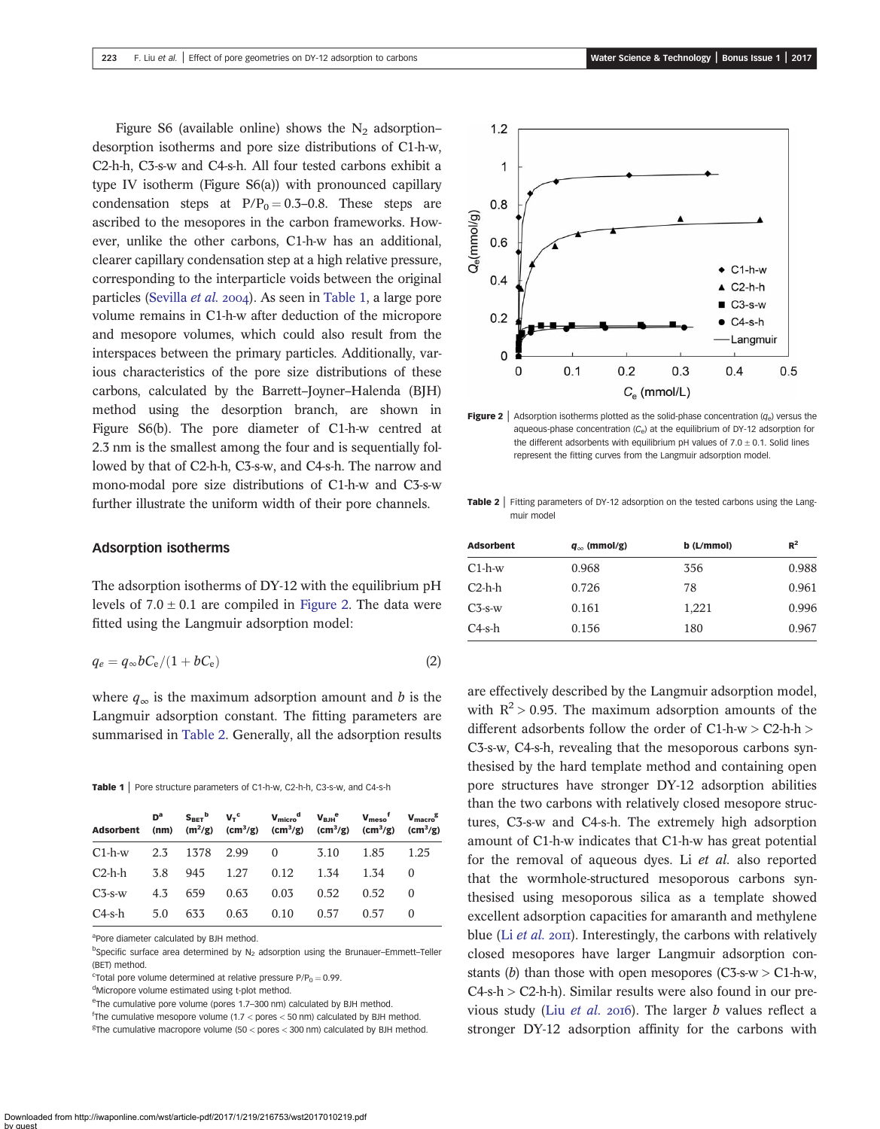<span id="page-4-0"></span>Figure S6 (available online) shows the  $N_2$  adsorption– desorption isotherms and pore size distributions of C1-h-w, C2-h-h, C3-s-w and C4-s-h. All four tested carbons exhibit a type IV isotherm (Figure S6(a)) with pronounced capillary condensation steps at  $P/P_0 = 0.3-0.8$ . These steps are ascribed to the mesopores in the carbon frameworks. However, unlike the other carbons, C1-h-w has an additional, clearer capillary condensation step at a high relative pressure, corresponding to the interparticle voids between the original particles [\(Sevilla](#page-8-0) et al. 2004). As seen in Table 1, a large pore volume remains in C1-h-w after deduction of the micropore and mesopore volumes, which could also result from the interspaces between the primary particles. Additionally, various characteristics of the pore size distributions of these carbons, calculated by the Barrett–Joyner–Halenda (BJH) method using the desorption branch, are shown in Figure S6(b). The pore diameter of C1-h-w centred at 2.3 nm is the smallest among the four and is sequentially followed by that of C2-h-h, C3-s-w, and C4-s-h. The narrow and mono-modal pore size distributions of C1-h-w and C3-s-w further illustrate the uniform width of their pore channels.

#### Adsorption isotherms

The adsorption isotherms of DY-12 with the equilibrium pH levels of  $7.0 \pm 0.1$  are compiled in Figure 2. The data were fitted using the Langmuir adsorption model:

$$
q_e = q_\infty b C_e / (1 + b C_e) \tag{2}
$$

where  $q_{\infty}$  is the maximum adsorption amount and b is the Langmuir adsorption constant. The fitting parameters are summarised in Table 2. Generally, all the adsorption results

Table 1 | Pore structure parameters of C1-h-w, C2-h-h, C3-s-w, and C4-s-h

|  |  |                                                                                                                           | 1.25                                                                                                                                                                                                                                                                    |
|--|--|---------------------------------------------------------------------------------------------------------------------------|-------------------------------------------------------------------------------------------------------------------------------------------------------------------------------------------------------------------------------------------------------------------------|
|  |  | 1.34                                                                                                                      | $\theta$                                                                                                                                                                                                                                                                |
|  |  | 0.52                                                                                                                      | $\bigcirc$                                                                                                                                                                                                                                                              |
|  |  | 0.57                                                                                                                      | $\theta$                                                                                                                                                                                                                                                                |
|  |  | $C1-h-w$ 2.3 1378 2.99 0 3.10<br>C2-h-h 3.8 945 1.27 0.12 1.34<br>4.3 659 0.63 0.03 0.52<br>C4-s-h 5.0 633 0.63 0.10 0.57 | $D^a$ $S_{\text{BET}}^b$ $V_T^c$ $V_{\text{micro}}^d$ $V_{\text{BH}}^e$ $V_{\text{meso}}^f$ $V_{\text{macro}}^g$<br>Adsorbent (nm) (m <sup>2</sup> /g) (cm <sup>3</sup> /g) (cm <sup>3</sup> /g) (cm <sup>3</sup> /g) (cm <sup>3</sup> /g) (cm <sup>3</sup> /g)<br>1.85 |

aPore diameter calculated by BJH method.

<sup>b</sup>Specific surface area determined by N<sub>2</sub> adsorption using the Brunauer-Emmett-Teller (BET) method.

 $\text{c}$ Total pore volume determined at relative pressure P/P<sub>0</sub> = 0.99.

<sup>d</sup>Micropore volume estimated using t-plot method.

eThe cumulative pore volume (pores 1.7-300 nm) calculated by BJH method.

f The cumulative mesopore volume (1.7 < pores < 50 nm) calculated by BJH method.  ${}^{g}$ The cumulative macropore volume (50 < pores < 300 nm) calculated by BJH method.



**Figure 2** Adsorption isotherms plotted as the solid-phase concentration  $(q_e)$  versus the aqueous-phase concentration  $(C_e)$  at the equilibrium of DY-12 adsorption for the different adsorbents with equilibrium pH values of  $7.0 \pm 0.1$ . Solid lines represent the fitting curves from the Langmuir adsorption model.

Table 2 | Fitting parameters of DY-12 adsorption on the tested carbons using the Langmuir model

| <b>Adsorbent</b> | $q_{\infty}$ (mmol/g) | b (L/mmol) | $R^2$ |
|------------------|-----------------------|------------|-------|
| $C1-h-w$         | 0.968                 | 356        | 0.988 |
| $C2-h-h$         | 0.726                 | 78         | 0.961 |
| $C_{\rm 3-S-W}$  | 0.161                 | 1,221      | 0.996 |
| $C4-s-h$         | 0.156                 | 180        | 0.967 |

are effectively described by the Langmuir adsorption model, with  $R^2 > 0.95$ . The maximum adsorption amounts of the different adsorbents follow the order of C1-h-w > C2-h-h > C3-s-w, C4-s-h, revealing that the mesoporous carbons synthesised by the hard template method and containing open pore structures have stronger DY-12 adsorption abilities than the two carbons with relatively closed mesopore structures, C3-s-w and C4-s-h. The extremely high adsorption amount of C1-h-w indicates that C1-h-w has great potential for the removal of aqueous dyes. Li et al. also reported that the wormhole-structured mesoporous carbons synthesised using mesoporous silica as a template showed excellent adsorption capacities for amaranth and methylene blue (Li *[et al.](#page-8-0)* 2011). Interestingly, the carbons with relatively closed mesopores have larger Langmuir adsorption constants (b) than those with open mesopores (C3-s-w  $>$  C1-h-w,  $C4$ -s-h >  $C2$ -h-h). Similar results were also found in our previous study (Liu [et al.](#page-8-0) 2016). The larger  $b$  values reflect a stronger DY-12 adsorption affinity for the carbons with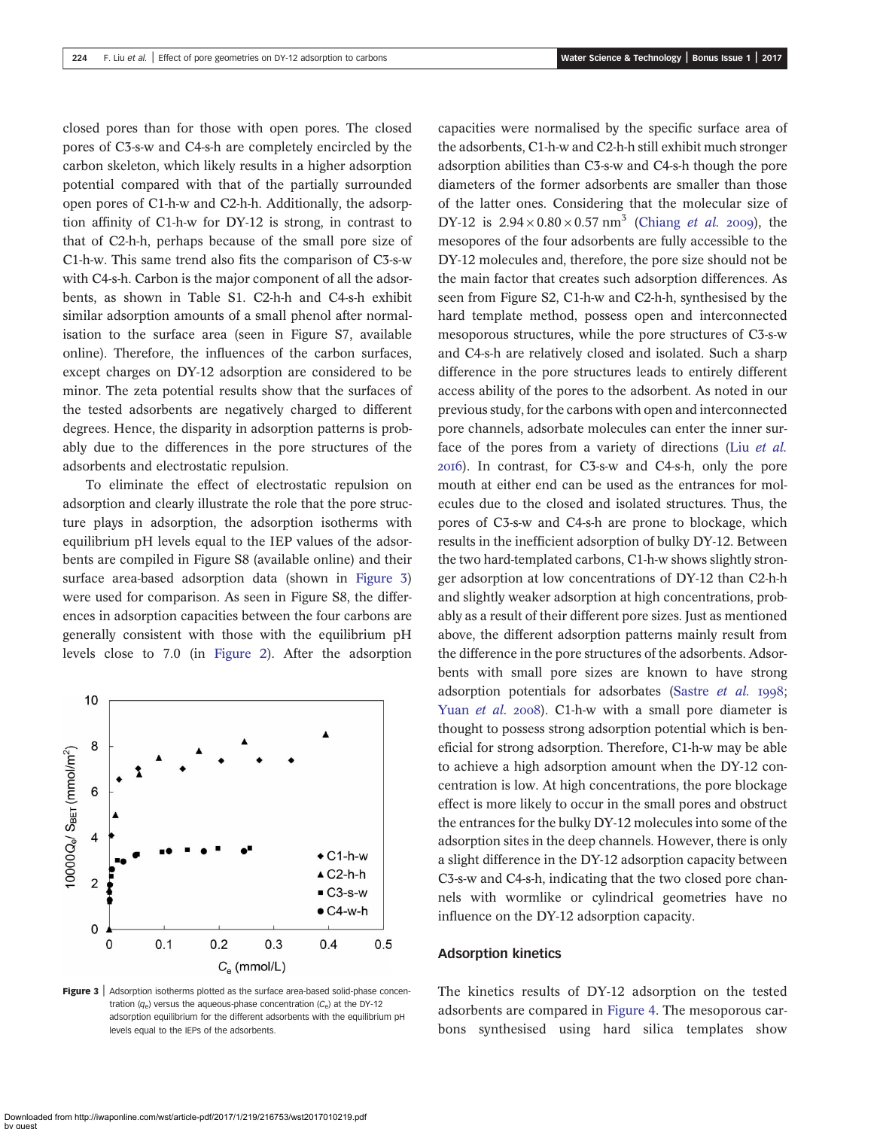closed pores than for those with open pores. The closed pores of C3-s-w and C4-s-h are completely encircled by the carbon skeleton, which likely results in a higher adsorption potential compared with that of the partially surrounded open pores of C1-h-w and C2-h-h. Additionally, the adsorption affinity of C1-h-w for DY-12 is strong, in contrast to that of C2-h-h, perhaps because of the small pore size of C1-h-w. This same trend also fits the comparison of C3-s-w with C4-s-h. Carbon is the major component of all the adsorbents, as shown in Table S1. C2-h-h and C4-s-h exhibit similar adsorption amounts of a small phenol after normalisation to the surface area (seen in Figure S7, available online). Therefore, the influences of the carbon surfaces, except charges on DY-12 adsorption are considered to be minor. The zeta potential results show that the surfaces of the tested adsorbents are negatively charged to different degrees. Hence, the disparity in adsorption patterns is probably due to the differences in the pore structures of the adsorbents and electrostatic repulsion.

To eliminate the effect of electrostatic repulsion on adsorption and clearly illustrate the role that the pore structure plays in adsorption, the adsorption isotherms with equilibrium pH levels equal to the IEP values of the adsorbents are compiled in Figure S8 (available online) and their surface area-based adsorption data (shown in Figure 3) were used for comparison. As seen in Figure S8, the differences in adsorption capacities between the four carbons are generally consistent with those with the equilibrium pH levels close to 7.0 (in [Figure 2](#page-4-0)). After the adsorption



Figure 3 | Adsorption isotherms plotted as the surface area-based solid-phase concentration  $(q_e)$  versus the aqueous-phase concentration  $(C_e)$  at the DY-12 adsorption equilibrium for the different adsorbents with the equilibrium pH levels equal to the IEPs of the adsorbents.

capacities were normalised by the specific surface area of the adsorbents, C1-h-w and C2-h-h still exhibit much stronger adsorption abilities than C3-s-w and C4-s-h though the pore diameters of the former adsorbents are smaller than those of the latter ones. Considering that the molecular size of DY-12 is  $2.94 \times 0.80 \times 0.57$  nm<sup>3</sup> [\(Chiang](#page-8-0) *et al.* 2009), the mesopores of the four adsorbents are fully accessible to the DY-12 molecules and, therefore, the pore size should not be the main factor that creates such adsorption differences. As seen from Figure S2, C1-h-w and C2-h-h, synthesised by the hard template method, possess open and interconnected mesoporous structures, while the pore structures of C3-s-w and C4-s-h are relatively closed and isolated. Such a sharp difference in the pore structures leads to entirely different access ability of the pores to the adsorbent. As noted in our previous study, for the carbons with open and interconnected pore channels, adsorbate molecules can enter the inner surface of the pores from a variety of directions (Liu [et al.](#page-8-0) ). In contrast, for C3-s-w and C4-s-h, only the pore mouth at either end can be used as the entrances for molecules due to the closed and isolated structures. Thus, the pores of C3-s-w and C4-s-h are prone to blockage, which results in the inefficient adsorption of bulky DY-12. Between the two hard-templated carbons, C1-h-w shows slightly stronger adsorption at low concentrations of DY-12 than C2-h-h and slightly weaker adsorption at high concentrations, probably as a result of their different pore sizes. Just as mentioned above, the different adsorption patterns mainly result from the difference in the pore structures of the adsorbents. Adsorbents with small pore sizes are known to have strong adsorption potentials for adsorbates ([Sastre](#page-8-0) et al. 1998; [Yuan](#page-9-0) *et al.* 2008). C1-h-w with a small pore diameter is thought to possess strong adsorption potential which is beneficial for strong adsorption. Therefore, C1-h-w may be able to achieve a high adsorption amount when the DY-12 concentration is low. At high concentrations, the pore blockage effect is more likely to occur in the small pores and obstruct the entrances for the bulky DY-12 molecules into some of the adsorption sites in the deep channels. However, there is only a slight difference in the DY-12 adsorption capacity between C3-s-w and C4-s-h, indicating that the two closed pore channels with wormlike or cylindrical geometries have no influence on the DY-12 adsorption capacity.

#### Adsorption kinetics

The kinetics results of DY-12 adsorption on the tested adsorbents are compared in [Figure 4](#page-6-0). The mesoporous carbons synthesised using hard silica templates show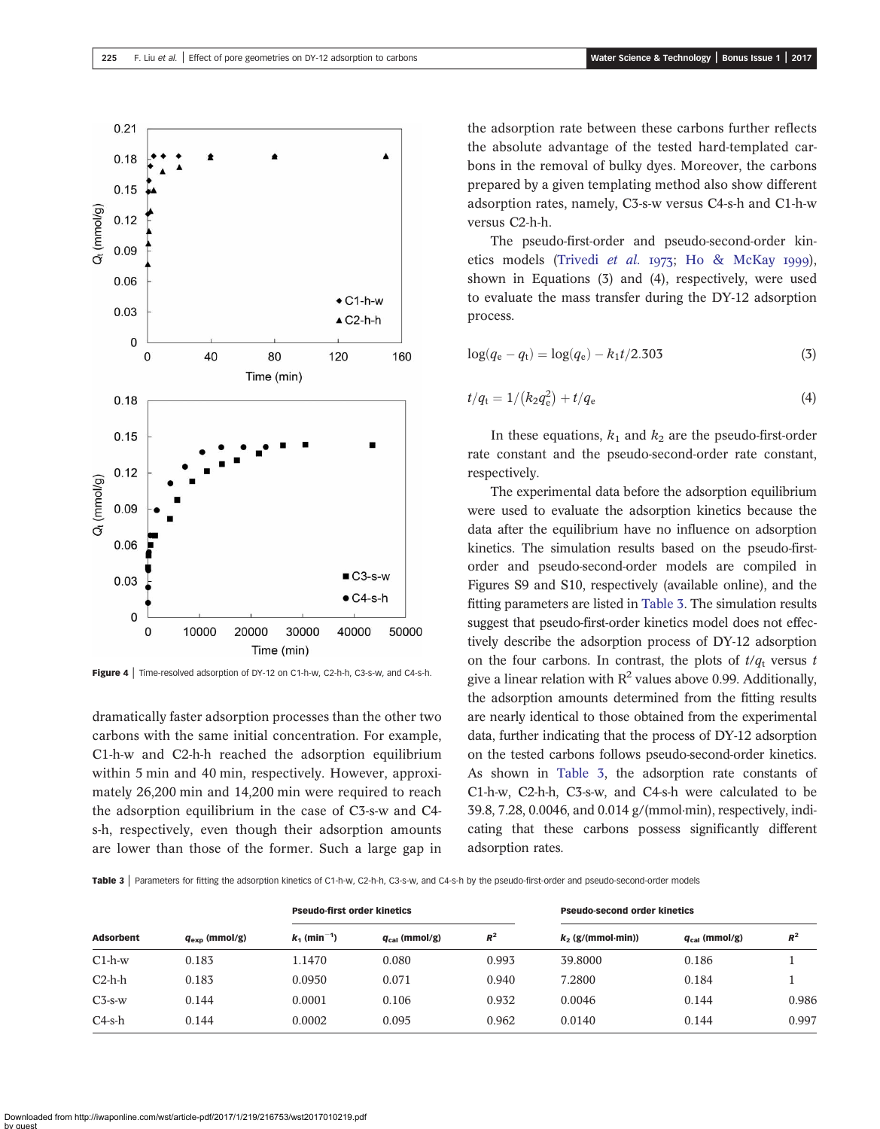<span id="page-6-0"></span>

Figure 4 | Time-resolved adsorption of DY-12 on C1-h-w, C2-h-h, C3-s-w, and C4-s-h.

dramatically faster adsorption processes than the other two carbons with the same initial concentration. For example, C1-h-w and C2-h-h reached the adsorption equilibrium within 5 min and 40 min, respectively. However, approximately 26,200 min and 14,200 min were required to reach the adsorption equilibrium in the case of C3-s-w and C4 s-h, respectively, even though their adsorption amounts are lower than those of the former. Such a large gap in the adsorption rate between these carbons further reflects the absolute advantage of the tested hard-templated carbons in the removal of bulky dyes. Moreover, the carbons prepared by a given templating method also show different adsorption rates, namely, C3-s-w versus C4-s-h and C1-h-w versus C2-h-h.

The pseudo-first-order and pseudo-second-order kin-etics models [\(Trivedi](#page-9-0) et al. 1973; [Ho & McKay](#page-8-0) 1999), shown in Equations (3) and (4), respectively, were used to evaluate the mass transfer during the DY-12 adsorption process.

$$
\log(q_{\rm e} - q_{\rm t}) = \log(q_{\rm e}) - k_1 t / 2.303 \tag{3}
$$

$$
t/q_{\rm t} = 1/(k_2 q_{\rm e}^2) + t/q_{\rm e}
$$
\n(4)

In these equations,  $k_1$  and  $k_2$  are the pseudo-first-order rate constant and the pseudo-second-order rate constant, respectively.

The experimental data before the adsorption equilibrium were used to evaluate the adsorption kinetics because the data after the equilibrium have no influence on adsorption kinetics. The simulation results based on the pseudo-firstorder and pseudo-second-order models are compiled in Figures S9 and S10, respectively (available online), and the fitting parameters are listed in Table 3. The simulation results suggest that pseudo-first-order kinetics model does not effectively describe the adsorption process of DY-12 adsorption on the four carbons. In contrast, the plots of  $t/q_t$  versus t give a linear relation with  $R^2$  values above 0.99. Additionally, the adsorption amounts determined from the fitting results are nearly identical to those obtained from the experimental data, further indicating that the process of DY-12 adsorption on the tested carbons follows pseudo-second-order kinetics. As shown in Table 3, the adsorption rate constants of C1-h-w, C2-h-h, C3-s-w, and C4-s-h were calculated to be 39.8, 7.28, 0.0046, and 0.014 g/(mmol·min), respectively, indicating that these carbons possess significantly different adsorption rates.

Table 3 | Parameters for fitting the adsorption kinetics of C1-h-w, C2-h-h, C3-s-w, and C4-s-h by the pseudo-first-order and pseudo-second-order models

|                  | $q_{\rm exp}$ (mmol/g) | <b>Pseudo-first order kinetics</b> |                    |       | <b>Pseudo-second order kinetics</b> |                    |       |
|------------------|------------------------|------------------------------------|--------------------|-------|-------------------------------------|--------------------|-------|
| <b>Adsorbent</b> |                        | $k_1$ (min <sup>-1</sup> )         | $q_{cal}$ (mmol/g) | $R^2$ | $k_2$ (g/(mmol-min))                | $q_{cal}$ (mmol/g) | $R^2$ |
| $C1-h-w$         | 0.183                  | 1.1470                             | 0.080              | 0.993 | 39.8000                             | 0.186              |       |
| $C2-h-h$         | 0.183                  | 0.0950                             | 0.071              | 0.940 | 7.2800                              | 0.184              |       |
| $C3$ -s- $W$     | 0.144                  | 0.0001                             | 0.106              | 0.932 | 0.0046                              | 0.144              | 0.986 |
| $C4$ -s-h        | 0.144                  | 0.0002                             | 0.095              | 0.962 | 0.0140                              | 0.144              | 0.997 |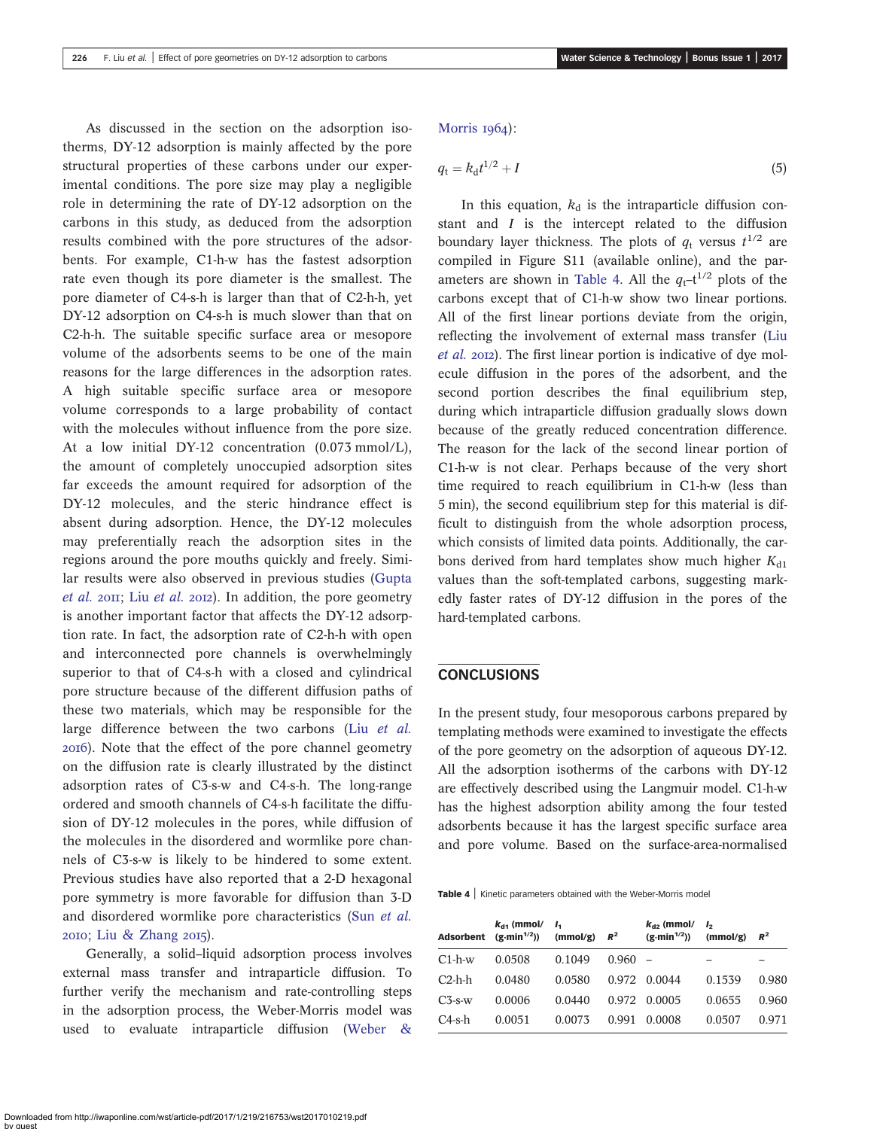As discussed in the section on the adsorption isotherms, DY-12 adsorption is mainly affected by the pore structural properties of these carbons under our exper-[Morris](#page-9-0) 1964):  $q_{\rm t} = k_{\rm d}t$ 

imental conditions. The pore size may play a negligible role in determining the rate of DY-12 adsorption on the carbons in this study, as deduced from the adsorption results combined with the pore structures of the adsorbents. For example, C1-h-w has the fastest adsorption rate even though its pore diameter is the smallest. The pore diameter of C4-s-h is larger than that of C2-h-h, yet DY-12 adsorption on C4-s-h is much slower than that on C2-h-h. The suitable specific surface area or mesopore volume of the adsorbents seems to be one of the main reasons for the large differences in the adsorption rates. A high suitable specific surface area or mesopore volume corresponds to a large probability of contact with the molecules without influence from the pore size. At a low initial DY-12 concentration (0.073 mmol/L), the amount of completely unoccupied adsorption sites far exceeds the amount required for adsorption of the DY-12 molecules, and the steric hindrance effect is absent during adsorption. Hence, the DY-12 molecules may preferentially reach the adsorption sites in the regions around the pore mouths quickly and freely. Similar results were also observed in previous studies ([Gupta](#page-8-0) *[et al.](#page-8-0)* 2011; Liu *et al.* 2012). In addition, the pore geometry is another important factor that affects the DY-12 adsorption rate. In fact, the adsorption rate of C2-h-h with open and interconnected pore channels is overwhelmingly superior to that of C4-s-h with a closed and cylindrical pore structure because of the different diffusion paths of these two materials, which may be responsible for the large difference between the two carbons (Liu [et al.](#page-8-0) ). Note that the effect of the pore channel geometry on the diffusion rate is clearly illustrated by the distinct adsorption rates of C3-s-w and C4-s-h. The long-range ordered and smooth channels of C4-s-h facilitate the diffusion of DY-12 molecules in the pores, while diffusion of the molecules in the disordered and wormlike pore channels of C3-s-w is likely to be hindered to some extent. Previous studies have also reported that a 2-D hexagonal pore symmetry is more favorable for diffusion than 3-D and disordered wormlike pore characteristics (Sun [et al.](#page-8-0)  $2010$ ; [Liu & Zhang](#page-8-0)  $2015$ ).

Generally, a solid–liquid adsorption process involves external mass transfer and intraparticle diffusion. To further verify the mechanism and rate-controlling steps in the adsorption process, the Weber-Morris model was used to evaluate intraparticle diffusion ([Weber &](#page-9-0)

$$
q_{\rm t}=k_{\rm d}t^{1/2}+I\tag{5}
$$

In this equation,  $k_d$  is the intraparticle diffusion constant and  $I$  is the intercept related to the diffusion boundary layer thickness. The plots of  $q_t$  versus  $t^{1/2}$  are compiled in Figure S11 (available online), and the parameters are shown in Table 4. All the  $q_t$ -t<sup>1/2</sup> plots of the carbons except that of C1-h-w show two linear portions. All of the first linear portions deviate from the origin, reflecting the involvement of external mass transfer ([Liu](#page-8-0) [et al.](#page-8-0) 2012). The first linear portion is indicative of dye molecule diffusion in the pores of the adsorbent, and the second portion describes the final equilibrium step, during which intraparticle diffusion gradually slows down because of the greatly reduced concentration difference. The reason for the lack of the second linear portion of C1-h-w is not clear. Perhaps because of the very short time required to reach equilibrium in C1-h-w (less than 5 min), the second equilibrium step for this material is difficult to distinguish from the whole adsorption process, which consists of limited data points. Additionally, the carbons derived from hard templates show much higher  $K_{d1}$ values than the soft-templated carbons, suggesting markedly faster rates of DY-12 diffusion in the pores of the hard-templated carbons.

### **CONCLUSIONS**

In the present study, four mesoporous carbons prepared by templating methods were examined to investigate the effects of the pore geometry on the adsorption of aqueous DY-12. All the adsorption isotherms of the carbons with DY-12 are effectively described using the Langmuir model. C1-h-w has the highest adsorption ability among the four tested adsorbents because it has the largest specific surface area and pore volume. Based on the surface-area-normalised

Table 4 | Kinetic parameters obtained with the Weber-Morris model

| Adsorbent       | $k_{d1}$ (mmol/<br>$(g\cdot min^{1/2}))$ | I۰<br>(mmol/g) | $R^2$ | $k_{d2}$ (mmol/<br>$(g\cdot min^{1/2}))$ | I,<br>(mmol/g) | $R^2$ |
|-----------------|------------------------------------------|----------------|-------|------------------------------------------|----------------|-------|
| $C1-h-w$        | 0.0508                                   | 0.1049         | 0.960 |                                          |                |       |
| $C2-h-h$        | 0.0480                                   | 0.0580         | 0.972 | 0.0044                                   | 0.1539         | 0.980 |
| $C_{\rm 3-S-W}$ | 0.0006                                   | 0.0440         | 0.972 | 0.0005                                   | 0.0655         | 0.960 |
| $C4$ -s-h       | 0.0051                                   | 0.0073         | 0.991 | 0.0008                                   | 0.0507         | 0.971 |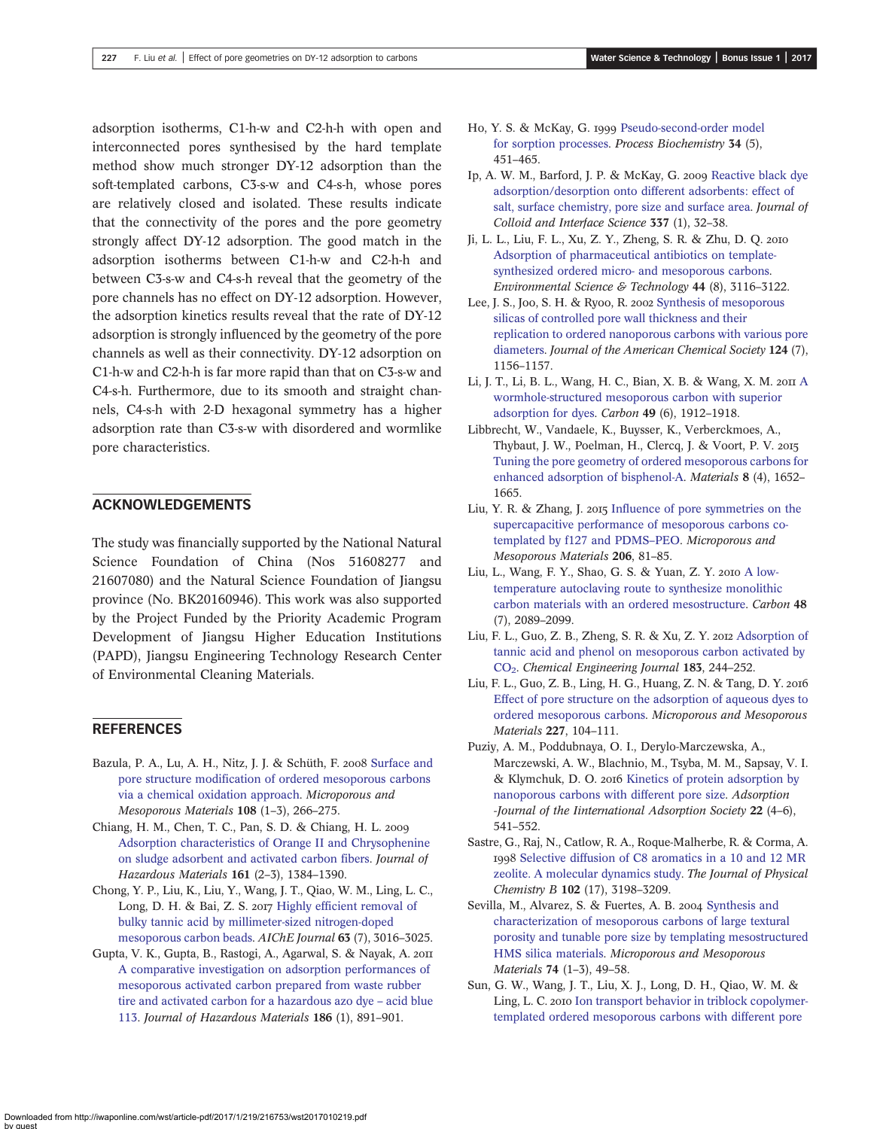<span id="page-8-0"></span>adsorption isotherms, C1-h-w and C2-h-h with open and interconnected pores synthesised by the hard template method show much stronger DY-12 adsorption than the soft-templated carbons, C3-s-w and C4-s-h, whose pores are relatively closed and isolated. These results indicate that the connectivity of the pores and the pore geometry strongly affect DY-12 adsorption. The good match in the adsorption isotherms between C1-h-w and C2-h-h and between C3-s-w and C4-s-h reveal that the geometry of the pore channels has no effect on DY-12 adsorption. However, the adsorption kinetics results reveal that the rate of DY-12 adsorption is strongly influenced by the geometry of the pore channels as well as their connectivity. DY-12 adsorption on C1-h-w and C2-h-h is far more rapid than that on C3-s-w and C4-s-h. Furthermore, due to its smooth and straight channels, C4-s-h with 2-D hexagonal symmetry has a higher adsorption rate than C3-s-w with disordered and wormlike pore characteristics.

## ACKNOWLEDGEMENTS

The study was financially supported by the National Natural Science Foundation of China (Nos 51608277 and 21607080) and the Natural Science Foundation of Jiangsu province (No. BK20160946). This work was also supported by the Project Funded by the Priority Academic Program Development of Jiangsu Higher Education Institutions (PAPD), Jiangsu Engineering Technology Research Center of Environmental Cleaning Materials.

## **REFERENCES**

- Bazula, P. A., Lu, A. H., Nitz, J. J. & Schüth, F. 2008 [Surface and](http://dx.doi.org/10.1016/j.micromeso.2007.04.008) [pore structure modification of ordered mesoporous carbons](http://dx.doi.org/10.1016/j.micromeso.2007.04.008) [via a chemical oxidation approach](http://dx.doi.org/10.1016/j.micromeso.2007.04.008). Microporous and Mesoporous Materials 108 (1–3), 266–275.
- Chiang, H. M., Chen, T. C., Pan, S. D. & Chiang, H. L. [Adsorption characteristics of Orange II and Chrysophenine](http://dx.doi.org/10.1016/j.jhazmat.2008.04.102) [on sludge adsorbent and activated carbon fibers](http://dx.doi.org/10.1016/j.jhazmat.2008.04.102). Journal of Hazardous Materials 161 (2–3), 1384–1390.
- Chong, Y. P., Liu, K., Liu, Y., Wang, J. T., Qiao, W. M., Ling, L. C., Long, D. H. & Bai, Z. S. 2017 [Highly efficient removal of](http://dx.doi.org/10.1002/aic.15601) [bulky tannic acid by millimeter-sized nitrogen-doped](http://dx.doi.org/10.1002/aic.15601) [mesoporous carbon beads.](http://dx.doi.org/10.1002/aic.15601) AIChE Journal 63 (7), 3016–3025.
- Gupta, V. K., Gupta, B., Rastogi, A., Agarwal, S. & Nayak, A. [A comparative investigation on adsorption performances of](http://dx.doi.org/10.1016/j.jhazmat.2010.11.091) [mesoporous activated carbon prepared from waste rubber](http://dx.doi.org/10.1016/j.jhazmat.2010.11.091) [tire and activated carbon for a hazardous azo dye](http://dx.doi.org/10.1016/j.jhazmat.2010.11.091) – acid blue [113](http://dx.doi.org/10.1016/j.jhazmat.2010.11.091). Journal of Hazardous Materials 186 (1), 891–901.
- Ho, Y. S. & McKay, G. 1999 [Pseudo-second-order model](http://dx.doi.org/10.1016/S0032-9592(98)00112-5) [for sorption processes.](http://dx.doi.org/10.1016/S0032-9592(98)00112-5) Process Biochemistry 34 (5), 451–465.
- Ip, A. W. M., Barford, J. P. & McKay, G. 2009 [Reactive black dye](http://dx.doi.org/10.1016/j.jcis.2009.05.015) [adsorption/desorption onto different adsorbents: effect of](http://dx.doi.org/10.1016/j.jcis.2009.05.015) [salt, surface chemistry, pore size and surface area.](http://dx.doi.org/10.1016/j.jcis.2009.05.015) Journal of Colloid and Interface Science 337 (1), 32–38.
- Ji, L. L., Liu, F. L., Xu, Z. Y., Zheng, S. R. & Zhu, D. Q. [Adsorption of pharmaceutical antibiotics on template](http://dx.doi.org/10.1021/es903716s)[synthesized ordered micro- and mesoporous carbons](http://dx.doi.org/10.1021/es903716s). Environmental Science & Technology 44 (8), 3116–3122.
- Lee, J. S., Joo, S. H. & Ryoo, R. 2002 [Synthesis of mesoporous](http://dx.doi.org/10.1021/ja012333h) [silicas of controlled pore wall thickness and their](http://dx.doi.org/10.1021/ja012333h) [replication to ordered nanoporous carbons with various pore](http://dx.doi.org/10.1021/ja012333h) [diameters](http://dx.doi.org/10.1021/ja012333h). Journal of the American Chemical Society 124 (7), 1156–1157.
- Li, J. T., Li, B. L., Wang, H. C., Bian, X. B. & Wang, X. M. 2011 [A](http://dx.doi.org/10.1016/j.carbon.2011.01.016) [wormhole-structured mesoporous carbon with superior](http://dx.doi.org/10.1016/j.carbon.2011.01.016) [adsorption for dyes.](http://dx.doi.org/10.1016/j.carbon.2011.01.016) Carbon 49 (6), 1912–1918.
- Libbrecht, W., Vandaele, K., Buysser, K., Verberckmoes, A., Thybaut, J. W., Poelman, H., Clercq, J. & Voort, P. V. [Tuning the pore geometry of ordered mesoporous carbons for](http://dx.doi.org/10.3390/ma8041652) [enhanced adsorption of bisphenol-A](http://dx.doi.org/10.3390/ma8041652). Materials 8 (4), 1652– 1665.
- Liu, Y. R. & Zhang, J. 2015 [Influence of pore symmetries on the](http://dx.doi.org/10.1016/j.micromeso.2014.12.020) [supercapacitive performance of mesoporous carbons co](http://dx.doi.org/10.1016/j.micromeso.2014.12.020)[templated by f127 and PDMS](http://dx.doi.org/10.1016/j.micromeso.2014.12.020)–PEO. Microporous and Mesoporous Materials 206, 81–85.
- Liu, L., Wang, F. Y., Shao, G. S. & Yuan, Z. Y. 2010 [A low](http://dx.doi.org/10.1016/j.carbon.2010.02.022)[temperature autoclaving route to synthesize monolithic](http://dx.doi.org/10.1016/j.carbon.2010.02.022) [carbon materials with an ordered mesostructure.](http://dx.doi.org/10.1016/j.carbon.2010.02.022) Carbon 48 (7), 2089–2099.
- Liu, F. L., Guo, Z. B., Zheng, S. R. & Xu, Z. Y. 2012 [Adsorption of](http://dx.doi.org/10.1016/j.cej.2011.12.069) [tannic acid and phenol on mesoporous carbon activated by](http://dx.doi.org/10.1016/j.cej.2011.12.069) [CO2.](http://dx.doi.org/10.1016/j.cej.2011.12.069) Chemical Engineering Journal 183, 244–252.
- Liu, F. L., Guo, Z. B., Ling, H. G., Huang, Z. N. & Tang, D. Y. [Effect of pore structure on the adsorption of aqueous dyes to](http://dx.doi.org/10.1016/j.micromeso.2016.02.051) [ordered mesoporous carbons](http://dx.doi.org/10.1016/j.micromeso.2016.02.051). Microporous and Mesoporous Materials 227, 104–111.
- Puziy, A. M., Poddubnaya, O. I., Derylo-Marczewska, A., Marczewski, A. W., Blachnio, M., Tsyba, M. M., Sapsay, V. I. & Klymchuk, D. O. 2016 [Kinetics of protein adsorption by](http://dx.doi.org/10.1007/s10450-015-9723-3) [nanoporous carbons with different pore size.](http://dx.doi.org/10.1007/s10450-015-9723-3) Adsorption -Journal of the Iinternational Adsorption Society 22 (4–6), 541–552.
- Sastre, G., Raj, N., Catlow, R. A., Roque-Malherbe, R. & Corma, A. rog8 [Selective diffusion of C8 aromatics in a 10 and 12 MR](http://dx.doi.org/10.1021/jp980053r) [zeolite. A molecular dynamics study.](http://dx.doi.org/10.1021/jp980053r) The Journal of Physical Chemistry B 102 (17), 3198–3209.
- Sevilla, M., Alvarez, S. & Fuertes, A. B. 2004 [Synthesis and](http://dx.doi.org/10.1016/j.micromeso.2004.06.006) [characterization of mesoporous carbons of large textural](http://dx.doi.org/10.1016/j.micromeso.2004.06.006) [porosity and tunable pore size by templating mesostructured](http://dx.doi.org/10.1016/j.micromeso.2004.06.006) [HMS silica materials](http://dx.doi.org/10.1016/j.micromeso.2004.06.006). Microporous and Mesoporous Materials 74 (1–3), 49–58.
- Sun, G. W., Wang, J. T., Liu, X. J., Long, D. H., Qiao, W. M. & Ling, L. C. 2010 [Ion transport behavior in triblock copolymer](http://dx.doi.org/10.1021/jp106205n)[templated ordered mesoporous carbons with different pore](http://dx.doi.org/10.1021/jp106205n)